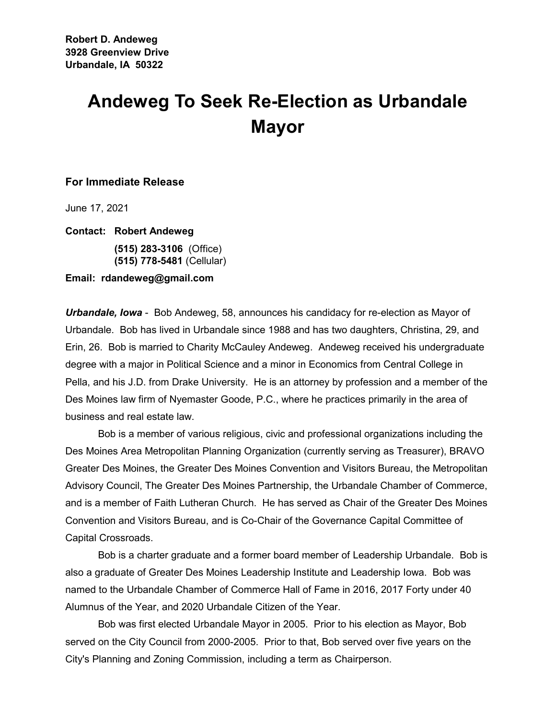## **Andeweg To Seek Re-Election as Urbandale Mayor**

## **For Immediate Release**

June 17, 2021

**Contact: Robert Andeweg**

**(515) 283-3106** (Office) **(515) 778-5481** (Cellular)

## **Email: rdandeweg@gmail.com**

*Urbandale, Iowa* - Bob Andeweg, 58, announces his candidacy for re-election as Mayor of Urbandale. Bob has lived in Urbandale since 1988 and has two daughters, Christina, 29, and Erin, 26. Bob is married to Charity McCauley Andeweg. Andeweg received his undergraduate degree with a major in Political Science and a minor in Economics from Central College in Pella, and his J.D. from Drake University. He is an attorney by profession and a member of the Des Moines law firm of Nyemaster Goode, P.C., where he practices primarily in the area of business and real estate law.

Bob is a member of various religious, civic and professional organizations including the Des Moines Area Metropolitan Planning Organization (currently serving as Treasurer), BRAVO Greater Des Moines, the Greater Des Moines Convention and Visitors Bureau, the Metropolitan Advisory Council, The Greater Des Moines Partnership, the Urbandale Chamber of Commerce, and is a member of Faith Lutheran Church. He has served as Chair of the Greater Des Moines Convention and Visitors Bureau, and is Co-Chair of the Governance Capital Committee of Capital Crossroads.

Bob is a charter graduate and a former board member of Leadership Urbandale. Bob is also a graduate of Greater Des Moines Leadership Institute and Leadership Iowa. Bob was named to the Urbandale Chamber of Commerce Hall of Fame in 2016, 2017 Forty under 40 Alumnus of the Year, and 2020 Urbandale Citizen of the Year.

Bob was first elected Urbandale Mayor in 2005. Prior to his election as Mayor, Bob served on the City Council from 2000-2005. Prior to that, Bob served over five years on the City's Planning and Zoning Commission, including a term as Chairperson.